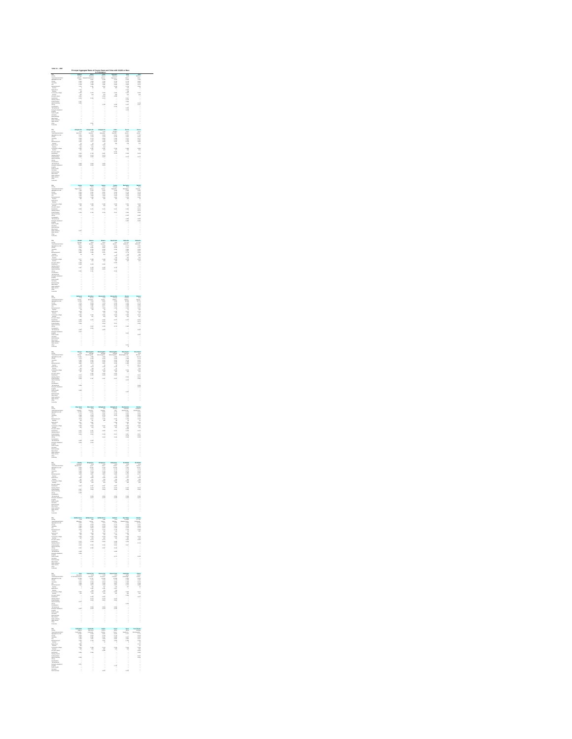|                                                                                                                                                                                                                                |                                                                                                                                              | libros a complete contract of the contract of the contract of himself contract of the contract of the contract of the contract of the contract of the contract of the contract of the contract of the contract of the contrac  | , a manifestion of the state and is a manifestion of the state of the state of the state of the state of the state of the state of the state of the state of the state of the state of the state of the state of the state of | llinna siaastamilli saamas suamas suunna saastamilli saamas saamas saamas saamas saamas suunna suunna saamas s         |                                                                                                                      | and and an international construction of the contract of an international contract of the contract of the contract of the contract of the contract of the contract of the contract of the contract of the contract of the con |
|--------------------------------------------------------------------------------------------------------------------------------------------------------------------------------------------------------------------------------|----------------------------------------------------------------------------------------------------------------------------------------------|--------------------------------------------------------------------------------------------------------------------------------------------------------------------------------------------------------------------------------|-------------------------------------------------------------------------------------------------------------------------------------------------------------------------------------------------------------------------------|------------------------------------------------------------------------------------------------------------------------|----------------------------------------------------------------------------------------------------------------------|-------------------------------------------------------------------------------------------------------------------------------------------------------------------------------------------------------------------------------|
|                                                                                                                                                                                                                                |                                                                                                                                              |                                                                                                                                                                                                                                |                                                                                                                                                                                                                               |                                                                                                                        |                                                                                                                      |                                                                                                                                                                                                                               |
|                                                                                                                                                                                                                                |                                                                                                                                              |                                                                                                                                                                                                                                |                                                                                                                                                                                                                               |                                                                                                                        |                                                                                                                      |                                                                                                                                                                                                                               |
|                                                                                                                                                                                                                                |                                                                                                                                              |                                                                                                                                                                                                                                |                                                                                                                                                                                                                               |                                                                                                                        |                                                                                                                      |                                                                                                                                                                                                                               |
|                                                                                                                                                                                                                                |                                                                                                                                              |                                                                                                                                                                                                                                |                                                                                                                                                                                                                               |                                                                                                                        |                                                                                                                      |                                                                                                                                                                                                                               |
|                                                                                                                                                                                                                                |                                                                                                                                              |                                                                                                                                                                                                                                |                                                                                                                                                                                                                               |                                                                                                                        |                                                                                                                      |                                                                                                                                                                                                                               |
|                                                                                                                                                                                                                                |                                                                                                                                              |                                                                                                                                                                                                                                |                                                                                                                                                                                                                               |                                                                                                                        |                                                                                                                      |                                                                                                                                                                                                                               |
|                                                                                                                                                                                                                                |                                                                                                                                              |                                                                                                                                                                                                                                |                                                                                                                                                                                                                               |                                                                                                                        |                                                                                                                      |                                                                                                                                                                                                                               |
|                                                                                                                                                                                                                                |                                                                                                                                              |                                                                                                                                                                                                                                |                                                                                                                                                                                                                               |                                                                                                                        |                                                                                                                      |                                                                                                                                                                                                                               |
|                                                                                                                                                                                                                                |                                                                                                                                              |                                                                                                                                                                                                                                |                                                                                                                                                                                                                               |                                                                                                                        |                                                                                                                      |                                                                                                                                                                                                                               |
|                                                                                                                                                                                                                                |                                                                                                                                              |                                                                                                                                                                                                                                |                                                                                                                                                                                                                               |                                                                                                                        |                                                                                                                      |                                                                                                                                                                                                                               |
|                                                                                                                                                                                                                                |                                                                                                                                              |                                                                                                                                                                                                                                |                                                                                                                                                                                                                               |                                                                                                                        |                                                                                                                      |                                                                                                                                                                                                                               |
|                                                                                                                                                                                                                                |                                                                                                                                              |                                                                                                                                                                                                                                |                                                                                                                                                                                                                               |                                                                                                                        |                                                                                                                      |                                                                                                                                                                                                                               |
|                                                                                                                                                                                                                                |                                                                                                                                              |                                                                                                                                                                                                                                |                                                                                                                                                                                                                               |                                                                                                                        |                                                                                                                      |                                                                                                                                                                                                                               |
|                                                                                                                                                                                                                                |                                                                                                                                              |                                                                                                                                                                                                                                |                                                                                                                                                                                                                               |                                                                                                                        |                                                                                                                      |                                                                                                                                                                                                                               |
|                                                                                                                                                                                                                                |                                                                                                                                              |                                                                                                                                                                                                                                |                                                                                                                                                                                                                               |                                                                                                                        |                                                                                                                      |                                                                                                                                                                                                                               |
|                                                                                                                                                                                                                                |                                                                                                                                              |                                                                                                                                                                                                                                |                                                                                                                                                                                                                               |                                                                                                                        |                                                                                                                      |                                                                                                                                                                                                                               |
|                                                                                                                                                                                                                                |                                                                                                                                              |                                                                                                                                                                                                                                |                                                                                                                                                                                                                               |                                                                                                                        |                                                                                                                      |                                                                                                                                                                                                                               |
|                                                                                                                                                                                                                                |                                                                                                                                              |                                                                                                                                                                                                                                |                                                                                                                                                                                                                               |                                                                                                                        |                                                                                                                      |                                                                                                                                                                                                                               |
|                                                                                                                                                                                                                                |                                                                                                                                              |                                                                                                                                                                                                                                |                                                                                                                                                                                                                               |                                                                                                                        |                                                                                                                      |                                                                                                                                                                                                                               |
|                                                                                                                                                                                                                                |                                                                                                                                              |                                                                                                                                                                                                                                |                                                                                                                                                                                                                               |                                                                                                                        |                                                                                                                      |                                                                                                                                                                                                                               |
|                                                                                                                                                                                                                                |                                                                                                                                              |                                                                                                                                                                                                                                |                                                                                                                                                                                                                               |                                                                                                                        |                                                                                                                      |                                                                                                                                                                                                                               |
|                                                                                                                                                                                                                                |                                                                                                                                              |                                                                                                                                                                                                                                |                                                                                                                                                                                                                               |                                                                                                                        |                                                                                                                      |                                                                                                                                                                                                                               |
|                                                                                                                                                                                                                                |                                                                                                                                              |                                                                                                                                                                                                                                |                                                                                                                                                                                                                               |                                                                                                                        |                                                                                                                      |                                                                                                                                                                                                                               |
|                                                                                                                                                                                                                                |                                                                                                                                              |                                                                                                                                                                                                                                |                                                                                                                                                                                                                               |                                                                                                                        |                                                                                                                      |                                                                                                                                                                                                                               |
|                                                                                                                                                                                                                                |                                                                                                                                              |                                                                                                                                                                                                                                |                                                                                                                                                                                                                               |                                                                                                                        |                                                                                                                      |                                                                                                                                                                                                                               |
|                                                                                                                                                                                                                                |                                                                                                                                              |                                                                                                                                                                                                                                |                                                                                                                                                                                                                               |                                                                                                                        |                                                                                                                      |                                                                                                                                                                                                                               |
|                                                                                                                                                                                                                                |                                                                                                                                              |                                                                                                                                                                                                                                |                                                                                                                                                                                                                               |                                                                                                                        |                                                                                                                      |                                                                                                                                                                                                                               |
|                                                                                                                                                                                                                                |                                                                                                                                              |                                                                                                                                                                                                                                |                                                                                                                                                                                                                               |                                                                                                                        |                                                                                                                      |                                                                                                                                                                                                                               |
|                                                                                                                                                                                                                                |                                                                                                                                              |                                                                                                                                                                                                                                |                                                                                                                                                                                                                               |                                                                                                                        |                                                                                                                      |                                                                                                                                                                                                                               |
|                                                                                                                                                                                                                                |                                                                                                                                              |                                                                                                                                                                                                                                |                                                                                                                                                                                                                               |                                                                                                                        |                                                                                                                      |                                                                                                                                                                                                                               |
|                                                                                                                                                                                                                                | $\mathbf{R}$ . The constraint contribution of $\mathbf{R}$ is a constraint constraint constraint constraint of $\mathbf{R}$ and $\mathbf{R}$ |                                                                                                                                                                                                                                |                                                                                                                                                                                                                               |                                                                                                                        |                                                                                                                      |                                                                                                                                                                                                                               |
|                                                                                                                                                                                                                                |                                                                                                                                              |                                                                                                                                                                                                                                |                                                                                                                                                                                                                               |                                                                                                                        |                                                                                                                      |                                                                                                                                                                                                                               |
|                                                                                                                                                                                                                                |                                                                                                                                              |                                                                                                                                                                                                                                |                                                                                                                                                                                                                               |                                                                                                                        |                                                                                                                      |                                                                                                                                                                                                                               |
|                                                                                                                                                                                                                                |                                                                                                                                              |                                                                                                                                                                                                                                |                                                                                                                                                                                                                               |                                                                                                                        |                                                                                                                      |                                                                                                                                                                                                                               |
|                                                                                                                                                                                                                                |                                                                                                                                              |                                                                                                                                                                                                                                |                                                                                                                                                                                                                               |                                                                                                                        |                                                                                                                      |                                                                                                                                                                                                                               |
|                                                                                                                                                                                                                                |                                                                                                                                              |                                                                                                                                                                                                                                |                                                                                                                                                                                                                               |                                                                                                                        |                                                                                                                      |                                                                                                                                                                                                                               |
|                                                                                                                                                                                                                                |                                                                                                                                              |                                                                                                                                                                                                                                |                                                                                                                                                                                                                               |                                                                                                                        |                                                                                                                      |                                                                                                                                                                                                                               |
|                                                                                                                                                                                                                                |                                                                                                                                              |                                                                                                                                                                                                                                |                                                                                                                                                                                                                               |                                                                                                                        |                                                                                                                      |                                                                                                                                                                                                                               |
|                                                                                                                                                                                                                                |                                                                                                                                              |                                                                                                                                                                                                                                |                                                                                                                                                                                                                               |                                                                                                                        |                                                                                                                      |                                                                                                                                                                                                                               |
|                                                                                                                                                                                                                                |                                                                                                                                              |                                                                                                                                                                                                                                |                                                                                                                                                                                                                               |                                                                                                                        |                                                                                                                      |                                                                                                                                                                                                                               |
|                                                                                                                                                                                                                                |                                                                                                                                              |                                                                                                                                                                                                                                |                                                                                                                                                                                                                               |                                                                                                                        |                                                                                                                      |                                                                                                                                                                                                                               |
|                                                                                                                                                                                                                                |                                                                                                                                              |                                                                                                                                                                                                                                |                                                                                                                                                                                                                               |                                                                                                                        |                                                                                                                      |                                                                                                                                                                                                                               |
|                                                                                                                                                                                                                                |                                                                                                                                              |                                                                                                                                                                                                                                |                                                                                                                                                                                                                               |                                                                                                                        |                                                                                                                      |                                                                                                                                                                                                                               |
|                                                                                                                                                                                                                                |                                                                                                                                              |                                                                                                                                                                                                                                |                                                                                                                                                                                                                               |                                                                                                                        |                                                                                                                      |                                                                                                                                                                                                                               |
|                                                                                                                                                                                                                                |                                                                                                                                              |                                                                                                                                                                                                                                |                                                                                                                                                                                                                               |                                                                                                                        |                                                                                                                      |                                                                                                                                                                                                                               |
|                                                                                                                                                                                                                                |                                                                                                                                              |                                                                                                                                                                                                                                |                                                                                                                                                                                                                               |                                                                                                                        |                                                                                                                      |                                                                                                                                                                                                                               |
|                                                                                                                                                                                                                                |                                                                                                                                              |                                                                                                                                                                                                                                |                                                                                                                                                                                                                               |                                                                                                                        |                                                                                                                      |                                                                                                                                                                                                                               |
|                                                                                                                                                                                                                                |                                                                                                                                              |                                                                                                                                                                                                                                |                                                                                                                                                                                                                               |                                                                                                                        |                                                                                                                      |                                                                                                                                                                                                                               |
|                                                                                                                                                                                                                                |                                                                                                                                              |                                                                                                                                                                                                                                |                                                                                                                                                                                                                               |                                                                                                                        |                                                                                                                      |                                                                                                                                                                                                                               |
|                                                                                                                                                                                                                                |                                                                                                                                              |                                                                                                                                                                                                                                |                                                                                                                                                                                                                               |                                                                                                                        |                                                                                                                      |                                                                                                                                                                                                                               |
|                                                                                                                                                                                                                                |                                                                                                                                              |                                                                                                                                                                                                                                |                                                                                                                                                                                                                               |                                                                                                                        |                                                                                                                      |                                                                                                                                                                                                                               |
|                                                                                                                                                                                                                                |                                                                                                                                              |                                                                                                                                                                                                                                |                                                                                                                                                                                                                               |                                                                                                                        |                                                                                                                      |                                                                                                                                                                                                                               |
|                                                                                                                                                                                                                                |                                                                                                                                              |                                                                                                                                                                                                                                |                                                                                                                                                                                                                               |                                                                                                                        |                                                                                                                      |                                                                                                                                                                                                                               |
|                                                                                                                                                                                                                                |                                                                                                                                              |                                                                                                                                                                                                                                |                                                                                                                                                                                                                               |                                                                                                                        |                                                                                                                      |                                                                                                                                                                                                                               |
|                                                                                                                                                                                                                                |                                                                                                                                              |                                                                                                                                                                                                                                |                                                                                                                                                                                                                               |                                                                                                                        |                                                                                                                      |                                                                                                                                                                                                                               |
|                                                                                                                                                                                                                                |                                                                                                                                              |                                                                                                                                                                                                                                |                                                                                                                                                                                                                               |                                                                                                                        |                                                                                                                      |                                                                                                                                                                                                                               |
|                                                                                                                                                                                                                                |                                                                                                                                              |                                                                                                                                                                                                                                |                                                                                                                                                                                                                               |                                                                                                                        |                                                                                                                      |                                                                                                                                                                                                                               |
|                                                                                                                                                                                                                                |                                                                                                                                              |                                                                                                                                                                                                                                |                                                                                                                                                                                                                               |                                                                                                                        |                                                                                                                      |                                                                                                                                                                                                                               |
|                                                                                                                                                                                                                                |                                                                                                                                              |                                                                                                                                                                                                                                |                                                                                                                                                                                                                               |                                                                                                                        |                                                                                                                      |                                                                                                                                                                                                                               |
|                                                                                                                                                                                                                                |                                                                                                                                              |                                                                                                                                                                                                                                |                                                                                                                                                                                                                               |                                                                                                                        |                                                                                                                      |                                                                                                                                                                                                                               |
|                                                                                                                                                                                                                                |                                                                                                                                              |                                                                                                                                                                                                                                |                                                                                                                                                                                                                               |                                                                                                                        | $\frac{1}{2}$                                                                                                        |                                                                                                                                                                                                                               |
|                                                                                                                                                                                                                                |                                                                                                                                              |                                                                                                                                                                                                                                |                                                                                                                                                                                                                               |                                                                                                                        |                                                                                                                      |                                                                                                                                                                                                                               |
|                                                                                                                                                                                                                                |                                                                                                                                              |                                                                                                                                                                                                                                |                                                                                                                                                                                                                               |                                                                                                                        |                                                                                                                      |                                                                                                                                                                                                                               |
|                                                                                                                                                                                                                                |                                                                                                                                              |                                                                                                                                                                                                                                |                                                                                                                                                                                                                               |                                                                                                                        |                                                                                                                      |                                                                                                                                                                                                                               |
|                                                                                                                                                                                                                                |                                                                                                                                              |                                                                                                                                                                                                                                |                                                                                                                                                                                                                               |                                                                                                                        |                                                                                                                      |                                                                                                                                                                                                                               |
|                                                                                                                                                                                                                                |                                                                                                                                              |                                                                                                                                                                                                                                |                                                                                                                                                                                                                               |                                                                                                                        |                                                                                                                      |                                                                                                                                                                                                                               |
|                                                                                                                                                                                                                                |                                                                                                                                              |                                                                                                                                                                                                                                |                                                                                                                                                                                                                               |                                                                                                                        |                                                                                                                      |                                                                                                                                                                                                                               |
|                                                                                                                                                                                                                                |                                                                                                                                              |                                                                                                                                                                                                                                |                                                                                                                                                                                                                               |                                                                                                                        |                                                                                                                      |                                                                                                                                                                                                                               |
|                                                                                                                                                                                                                                |                                                                                                                                              |                                                                                                                                                                                                                                |                                                                                                                                                                                                                               |                                                                                                                        |                                                                                                                      |                                                                                                                                                                                                                               |
|                                                                                                                                                                                                                                |                                                                                                                                              |                                                                                                                                                                                                                                |                                                                                                                                                                                                                               |                                                                                                                        |                                                                                                                      |                                                                                                                                                                                                                               |
|                                                                                                                                                                                                                                |                                                                                                                                              |                                                                                                                                                                                                                                |                                                                                                                                                                                                                               |                                                                                                                        |                                                                                                                      |                                                                                                                                                                                                                               |
|                                                                                                                                                                                                                                |                                                                                                                                              |                                                                                                                                                                                                                                |                                                                                                                                                                                                                               |                                                                                                                        |                                                                                                                      |                                                                                                                                                                                                                               |
|                                                                                                                                                                                                                                |                                                                                                                                              |                                                                                                                                                                                                                                |                                                                                                                                                                                                                               |                                                                                                                        |                                                                                                                      |                                                                                                                                                                                                                               |
|                                                                                                                                                                                                                                |                                                                                                                                              |                                                                                                                                                                                                                                |                                                                                                                                                                                                                               |                                                                                                                        |                                                                                                                      |                                                                                                                                                                                                                               |
|                                                                                                                                                                                                                                |                                                                                                                                              |                                                                                                                                                                                                                                |                                                                                                                                                                                                                               |                                                                                                                        |                                                                                                                      |                                                                                                                                                                                                                               |
|                                                                                                                                                                                                                                |                                                                                                                                              |                                                                                                                                                                                                                                |                                                                                                                                                                                                                               |                                                                                                                        |                                                                                                                      |                                                                                                                                                                                                                               |
|                                                                                                                                                                                                                                |                                                                                                                                              |                                                                                                                                                                                                                                |                                                                                                                                                                                                                               |                                                                                                                        |                                                                                                                      |                                                                                                                                                                                                                               |
| The State of the State of the State of the State of the State of the State of the State of the State of the State of the State of the State of the State of the State of the State of the State of the State of the State of t |                                                                                                                                              | The Control of Control Control of Control of Control of Control of Control of Control of Control of Control of Control of Control of Control of Control of Control of Control of Control of Control of Control of Control of C |                                                                                                                                                                                                                               | orian and computer and an international computer and contributed and an international computation and the contribution | <b>Bandwin Allen School School and Allen Bandy Allen Allen Bandy Allen Allen Bandy Allen Bandy Allen Bandy Allen</b> |                                                                                                                                                                                                                               |
|                                                                                                                                                                                                                                |                                                                                                                                              |                                                                                                                                                                                                                                |                                                                                                                                                                                                                               |                                                                                                                        |                                                                                                                      |                                                                                                                                                                                                                               |
|                                                                                                                                                                                                                                |                                                                                                                                              |                                                                                                                                                                                                                                |                                                                                                                                                                                                                               |                                                                                                                        |                                                                                                                      |                                                                                                                                                                                                                               |
|                                                                                                                                                                                                                                |                                                                                                                                              |                                                                                                                                                                                                                                |                                                                                                                                                                                                                               |                                                                                                                        |                                                                                                                      |                                                                                                                                                                                                                               |
|                                                                                                                                                                                                                                |                                                                                                                                              |                                                                                                                                                                                                                                |                                                                                                                                                                                                                               |                                                                                                                        |                                                                                                                      |                                                                                                                                                                                                                               |
|                                                                                                                                                                                                                                |                                                                                                                                              |                                                                                                                                                                                                                                |                                                                                                                                                                                                                               |                                                                                                                        |                                                                                                                      |                                                                                                                                                                                                                               |
|                                                                                                                                                                                                                                |                                                                                                                                              |                                                                                                                                                                                                                                |                                                                                                                                                                                                                               |                                                                                                                        |                                                                                                                      |                                                                                                                                                                                                                               |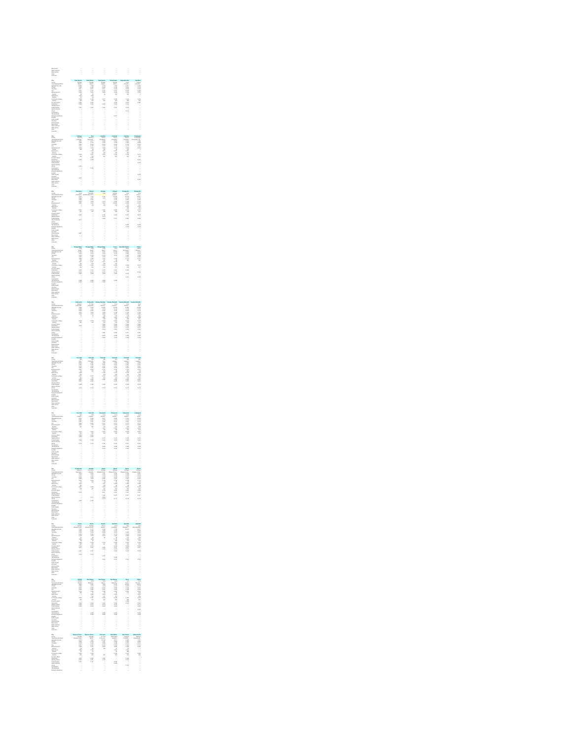| o Alabah Katalung Katalung Katalung Katalung Katalung Katalung Katalung Katalung Katalung Katalung K | الاستناطات والمسابر والمسابي والمسابر والمسابر والاستراطات والمسابر والمسابر والمسابر والمسابر والمسابر والمسابر والمسابر والمسابر والمسابر والمسابر والمسابر والمسابر والمسابر والمسابر والمسابر والمسابر والمسابر والمسابر و |  |                                                                                                                                                                                                                                                                                                                     | $\mathbb{R}^n$ , and a second component of the second contribution of the second contribution of the second contribution of the second contribution of the second contribution of the second contribution of the second contribut |  |
|------------------------------------------------------------------------------------------------------|--------------------------------------------------------------------------------------------------------------------------------------------------------------------------------------------------------------------------------|--|---------------------------------------------------------------------------------------------------------------------------------------------------------------------------------------------------------------------------------------------------------------------------------------------------------------------|-----------------------------------------------------------------------------------------------------------------------------------------------------------------------------------------------------------------------------------|--|
|                                                                                                      |                                                                                                                                                                                                                                |  |                                                                                                                                                                                                                                                                                                                     |                                                                                                                                                                                                                                   |  |
|                                                                                                      |                                                                                                                                                                                                                                |  |                                                                                                                                                                                                                                                                                                                     |                                                                                                                                                                                                                                   |  |
|                                                                                                      |                                                                                                                                                                                                                                |  |                                                                                                                                                                                                                                                                                                                     |                                                                                                                                                                                                                                   |  |
|                                                                                                      |                                                                                                                                                                                                                                |  |                                                                                                                                                                                                                                                                                                                     |                                                                                                                                                                                                                                   |  |
|                                                                                                      |                                                                                                                                                                                                                                |  |                                                                                                                                                                                                                                                                                                                     |                                                                                                                                                                                                                                   |  |
|                                                                                                      |                                                                                                                                                                                                                                |  |                                                                                                                                                                                                                                                                                                                     |                                                                                                                                                                                                                                   |  |
|                                                                                                      |                                                                                                                                                                                                                                |  |                                                                                                                                                                                                                                                                                                                     |                                                                                                                                                                                                                                   |  |
|                                                                                                      |                                                                                                                                                                                                                                |  |                                                                                                                                                                                                                                                                                                                     |                                                                                                                                                                                                                                   |  |
|                                                                                                      |                                                                                                                                                                                                                                |  |                                                                                                                                                                                                                                                                                                                     |                                                                                                                                                                                                                                   |  |
|                                                                                                      |                                                                                                                                                                                                                                |  |                                                                                                                                                                                                                                                                                                                     |                                                                                                                                                                                                                                   |  |
|                                                                                                      |                                                                                                                                                                                                                                |  |                                                                                                                                                                                                                                                                                                                     |                                                                                                                                                                                                                                   |  |
|                                                                                                      |                                                                                                                                                                                                                                |  |                                                                                                                                                                                                                                                                                                                     |                                                                                                                                                                                                                                   |  |
|                                                                                                      |                                                                                                                                                                                                                                |  |                                                                                                                                                                                                                                                                                                                     |                                                                                                                                                                                                                                   |  |
|                                                                                                      |                                                                                                                                                                                                                                |  |                                                                                                                                                                                                                                                                                                                     |                                                                                                                                                                                                                                   |  |
|                                                                                                      |                                                                                                                                                                                                                                |  |                                                                                                                                                                                                                                                                                                                     |                                                                                                                                                                                                                                   |  |
|                                                                                                      |                                                                                                                                                                                                                                |  |                                                                                                                                                                                                                                                                                                                     |                                                                                                                                                                                                                                   |  |
|                                                                                                      |                                                                                                                                                                                                                                |  |                                                                                                                                                                                                                                                                                                                     |                                                                                                                                                                                                                                   |  |
|                                                                                                      |                                                                                                                                                                                                                                |  |                                                                                                                                                                                                                                                                                                                     |                                                                                                                                                                                                                                   |  |
|                                                                                                      |                                                                                                                                                                                                                                |  |                                                                                                                                                                                                                                                                                                                     |                                                                                                                                                                                                                                   |  |
|                                                                                                      |                                                                                                                                                                                                                                |  |                                                                                                                                                                                                                                                                                                                     |                                                                                                                                                                                                                                   |  |
|                                                                                                      |                                                                                                                                                                                                                                |  |                                                                                                                                                                                                                                                                                                                     |                                                                                                                                                                                                                                   |  |
|                                                                                                      |                                                                                                                                                                                                                                |  |                                                                                                                                                                                                                                                                                                                     |                                                                                                                                                                                                                                   |  |
|                                                                                                      |                                                                                                                                                                                                                                |  |                                                                                                                                                                                                                                                                                                                     |                                                                                                                                                                                                                                   |  |
|                                                                                                      |                                                                                                                                                                                                                                |  |                                                                                                                                                                                                                                                                                                                     |                                                                                                                                                                                                                                   |  |
|                                                                                                      |                                                                                                                                                                                                                                |  |                                                                                                                                                                                                                                                                                                                     |                                                                                                                                                                                                                                   |  |
|                                                                                                      |                                                                                                                                                                                                                                |  | with a state of the control of the control of the state of the state of the state of the state of the state of                                                                                                                                                                                                      |                                                                                                                                                                                                                                   |  |
|                                                                                                      |                                                                                                                                                                                                                                |  |                                                                                                                                                                                                                                                                                                                     |                                                                                                                                                                                                                                   |  |
|                                                                                                      |                                                                                                                                                                                                                                |  |                                                                                                                                                                                                                                                                                                                     |                                                                                                                                                                                                                                   |  |
|                                                                                                      |                                                                                                                                                                                                                                |  |                                                                                                                                                                                                                                                                                                                     |                                                                                                                                                                                                                                   |  |
|                                                                                                      |                                                                                                                                                                                                                                |  |                                                                                                                                                                                                                                                                                                                     |                                                                                                                                                                                                                                   |  |
|                                                                                                      |                                                                                                                                                                                                                                |  |                                                                                                                                                                                                                                                                                                                     |                                                                                                                                                                                                                                   |  |
|                                                                                                      |                                                                                                                                                                                                                                |  |                                                                                                                                                                                                                                                                                                                     |                                                                                                                                                                                                                                   |  |
|                                                                                                      |                                                                                                                                                                                                                                |  |                                                                                                                                                                                                                                                                                                                     |                                                                                                                                                                                                                                   |  |
|                                                                                                      |                                                                                                                                                                                                                                |  |                                                                                                                                                                                                                                                                                                                     |                                                                                                                                                                                                                                   |  |
|                                                                                                      |                                                                                                                                                                                                                                |  |                                                                                                                                                                                                                                                                                                                     |                                                                                                                                                                                                                                   |  |
|                                                                                                      |                                                                                                                                                                                                                                |  |                                                                                                                                                                                                                                                                                                                     |                                                                                                                                                                                                                                   |  |
|                                                                                                      |                                                                                                                                                                                                                                |  |                                                                                                                                                                                                                                                                                                                     |                                                                                                                                                                                                                                   |  |
|                                                                                                      |                                                                                                                                                                                                                                |  |                                                                                                                                                                                                                                                                                                                     |                                                                                                                                                                                                                                   |  |
|                                                                                                      |                                                                                                                                                                                                                                |  |                                                                                                                                                                                                                                                                                                                     |                                                                                                                                                                                                                                   |  |
|                                                                                                      |                                                                                                                                                                                                                                |  |                                                                                                                                                                                                                                                                                                                     |                                                                                                                                                                                                                                   |  |
|                                                                                                      |                                                                                                                                                                                                                                |  |                                                                                                                                                                                                                                                                                                                     |                                                                                                                                                                                                                                   |  |
|                                                                                                      |                                                                                                                                                                                                                                |  |                                                                                                                                                                                                                                                                                                                     |                                                                                                                                                                                                                                   |  |
|                                                                                                      |                                                                                                                                                                                                                                |  |                                                                                                                                                                                                                                                                                                                     |                                                                                                                                                                                                                                   |  |
|                                                                                                      |                                                                                                                                                                                                                                |  |                                                                                                                                                                                                                                                                                                                     |                                                                                                                                                                                                                                   |  |
|                                                                                                      |                                                                                                                                                                                                                                |  | $\frac{1}{2}$ $\frac{1}{2}$ $\frac{1}{2}$ $\frac{1}{2}$ $\frac{1}{2}$ $\frac{1}{2}$ $\frac{1}{2}$ $\frac{1}{2}$ $\frac{1}{2}$ $\frac{1}{2}$ $\frac{1}{2}$ $\frac{1}{2}$ $\frac{1}{2}$ $\frac{1}{2}$ $\frac{1}{2}$ $\frac{1}{2}$ $\frac{1}{2}$ $\frac{1}{2}$ $\frac{1}{2}$ $\frac{1}{2}$ $\frac{1}{2}$ $\frac{1}{2}$ |                                                                                                                                                                                                                                   |  |
|                                                                                                      |                                                                                                                                                                                                                                |  |                                                                                                                                                                                                                                                                                                                     |                                                                                                                                                                                                                                   |  |
|                                                                                                      |                                                                                                                                                                                                                                |  |                                                                                                                                                                                                                                                                                                                     |                                                                                                                                                                                                                                   |  |
|                                                                                                      |                                                                                                                                                                                                                                |  |                                                                                                                                                                                                                                                                                                                     |                                                                                                                                                                                                                                   |  |
|                                                                                                      |                                                                                                                                                                                                                                |  |                                                                                                                                                                                                                                                                                                                     |                                                                                                                                                                                                                                   |  |
|                                                                                                      |                                                                                                                                                                                                                                |  |                                                                                                                                                                                                                                                                                                                     |                                                                                                                                                                                                                                   |  |
|                                                                                                      |                                                                                                                                                                                                                                |  |                                                                                                                                                                                                                                                                                                                     |                                                                                                                                                                                                                                   |  |
|                                                                                                      |                                                                                                                                                                                                                                |  |                                                                                                                                                                                                                                                                                                                     |                                                                                                                                                                                                                                   |  |
|                                                                                                      |                                                                                                                                                                                                                                |  |                                                                                                                                                                                                                                                                                                                     |                                                                                                                                                                                                                                   |  |
|                                                                                                      |                                                                                                                                                                                                                                |  |                                                                                                                                                                                                                                                                                                                     |                                                                                                                                                                                                                                   |  |
|                                                                                                      |                                                                                                                                                                                                                                |  |                                                                                                                                                                                                                                                                                                                     |                                                                                                                                                                                                                                   |  |
|                                                                                                      |                                                                                                                                                                                                                                |  |                                                                                                                                                                                                                                                                                                                     |                                                                                                                                                                                                                                   |  |
|                                                                                                      |                                                                                                                                                                                                                                |  |                                                                                                                                                                                                                                                                                                                     |                                                                                                                                                                                                                                   |  |
|                                                                                                      |                                                                                                                                                                                                                                |  |                                                                                                                                                                                                                                                                                                                     |                                                                                                                                                                                                                                   |  |
|                                                                                                      |                                                                                                                                                                                                                                |  |                                                                                                                                                                                                                                                                                                                     |                                                                                                                                                                                                                                   |  |
|                                                                                                      |                                                                                                                                                                                                                                |  |                                                                                                                                                                                                                                                                                                                     |                                                                                                                                                                                                                                   |  |
|                                                                                                      |                                                                                                                                                                                                                                |  |                                                                                                                                                                                                                                                                                                                     |                                                                                                                                                                                                                                   |  |
|                                                                                                      |                                                                                                                                                                                                                                |  |                                                                                                                                                                                                                                                                                                                     |                                                                                                                                                                                                                                   |  |
|                                                                                                      |                                                                                                                                                                                                                                |  |                                                                                                                                                                                                                                                                                                                     |                                                                                                                                                                                                                                   |  |
|                                                                                                      |                                                                                                                                                                                                                                |  |                                                                                                                                                                                                                                                                                                                     |                                                                                                                                                                                                                                   |  |
|                                                                                                      |                                                                                                                                                                                                                                |  |                                                                                                                                                                                                                                                                                                                     |                                                                                                                                                                                                                                   |  |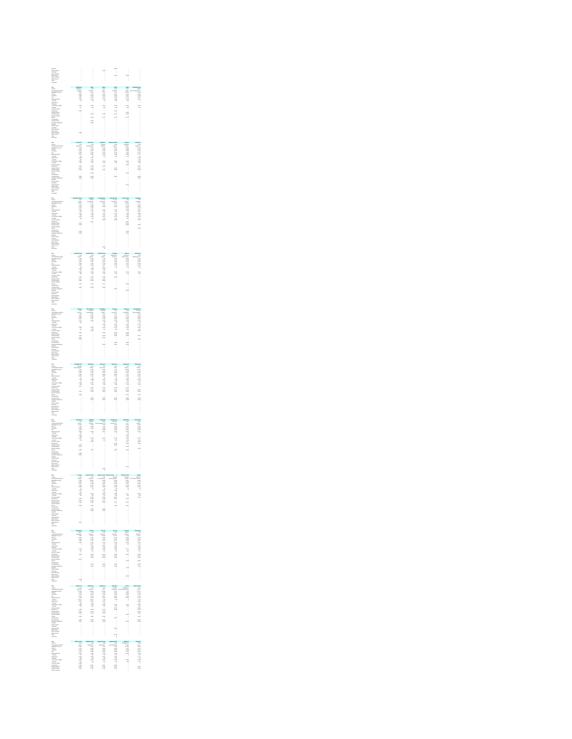| 2017,用的机能拉出来,而且在这里的时候,用的机能拉出来,也可以把它们的时候,而且也可以把它们的时候,而且也可以把它们的时候,而且 | والسفين والمسابر والمستقرض والسياسية والمستمر والمسابقة والمستقر والمستقرض والمسابر والمسابق المستقرض والمستقرر والمسابر | والمستقاط المراقب والمسابين والمسابين والمسابق والمسابق والمسابق والمسابق والمسابق والمسابق والمسابق والمسابق والمسابق والمسابق والمسابق والمسابق والمسابق والمسابق والمسابق والمسابق والمسابق والمسابق والمسابق والمسابق والم | سية المسابقة المسابقة المسابقة المسابقة المسابقة المسابقة المسابقة المسابقة المسابقة المسابقة المسابقة المسابقة المسابقة المسابقة المسابقة المسابقة المسابقة المسابقة المسابقة المسابقة المسابقة المسابقة المسابقة المسابقة ا |  |
|--------------------------------------------------------------------|--------------------------------------------------------------------------------------------------------------------------|--------------------------------------------------------------------------------------------------------------------------------------------------------------------------------------------------------------------------------|-------------------------------------------------------------------------------------------------------------------------------------------------------------------------------------------------------------------------------|--|
|                                                                    |                                                                                                                          |                                                                                                                                                                                                                                |                                                                                                                                                                                                                               |  |
|                                                                    |                                                                                                                          |                                                                                                                                                                                                                                |                                                                                                                                                                                                                               |  |
|                                                                    |                                                                                                                          |                                                                                                                                                                                                                                |                                                                                                                                                                                                                               |  |
|                                                                    |                                                                                                                          |                                                                                                                                                                                                                                |                                                                                                                                                                                                                               |  |
|                                                                    |                                                                                                                          |                                                                                                                                                                                                                                |                                                                                                                                                                                                                               |  |
|                                                                    |                                                                                                                          |                                                                                                                                                                                                                                |                                                                                                                                                                                                                               |  |
| THE STATE SECTION AND SERVER WAS SERVERED AND ALL AND ANY          |                                                                                                                          |                                                                                                                                                                                                                                |                                                                                                                                                                                                                               |  |
|                                                                    |                                                                                                                          |                                                                                                                                                                                                                                |                                                                                                                                                                                                                               |  |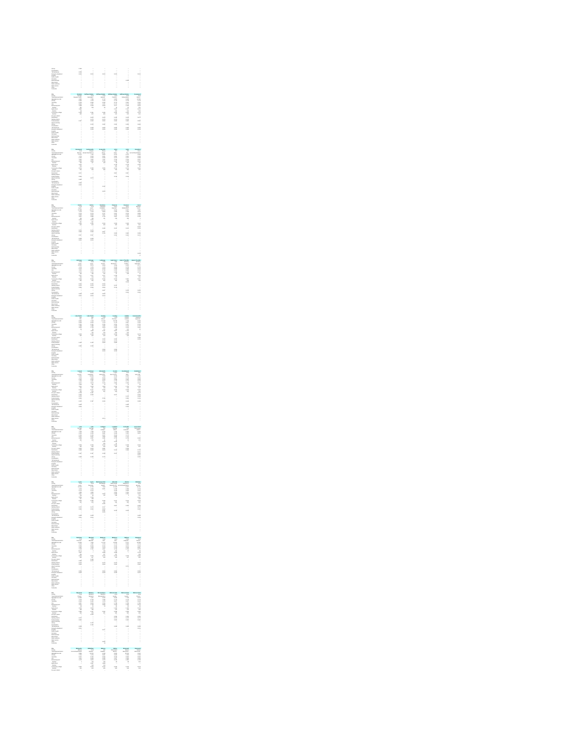|                                                                                                                       | <b><i><u><u>Altresses</u></u></i></b>                                                                                                                                                                                            | <b><i><u><u>Altress</u></u></i></b> |                                                                                                                                                                                                                                                                                                           |                                                                                                     |  |
|-----------------------------------------------------------------------------------------------------------------------|----------------------------------------------------------------------------------------------------------------------------------------------------------------------------------------------------------------------------------|-------------------------------------|-----------------------------------------------------------------------------------------------------------------------------------------------------------------------------------------------------------------------------------------------------------------------------------------------------------|-----------------------------------------------------------------------------------------------------|--|
|                                                                                                                       |                                                                                                                                                                                                                                  |                                     |                                                                                                                                                                                                                                                                                                           |                                                                                                     |  |
|                                                                                                                       |                                                                                                                                                                                                                                  |                                     |                                                                                                                                                                                                                                                                                                           |                                                                                                     |  |
|                                                                                                                       |                                                                                                                                                                                                                                  |                                     |                                                                                                                                                                                                                                                                                                           |                                                                                                     |  |
|                                                                                                                       | $\ldots$ . The construction of the construction of the construction of the construction of the construction of the construction of the construction of the construction of the construction of the construction of the construct |                                     | $\frac{1}{2}$ = $\frac{1}{2}$ = $\frac{1}{2}$ = $\frac{1}{2}$ = $\frac{1}{2}$ = $\frac{1}{2}$ = $\frac{1}{2}$ = $\frac{1}{2}$ = $\frac{1}{2}$ = $\frac{1}{2}$ = $\frac{1}{2}$ = $\frac{1}{2}$ = $\frac{1}{2}$ = $\frac{1}{2}$ = $\frac{1}{2}$ = $\frac{1}{2}$ = $\frac{1}{2}$ = $\frac{1}{2}$ = $\frac{1$ | $\label{eq:main}$                                                                                   |  |
|                                                                                                                       |                                                                                                                                                                                                                                  |                                     | 13333333333333                                                                                                                                                                                                                                                                                            |                                                                                                     |  |
|                                                                                                                       |                                                                                                                                                                                                                                  |                                     |                                                                                                                                                                                                                                                                                                           |                                                                                                     |  |
|                                                                                                                       |                                                                                                                                                                                                                                  |                                     |                                                                                                                                                                                                                                                                                                           |                                                                                                     |  |
|                                                                                                                       |                                                                                                                                                                                                                                  |                                     |                                                                                                                                                                                                                                                                                                           | a andl annatament and amount a suite and an and a state and an and a state and a state and an anti- |  |
|                                                                                                                       |                                                                                                                                                                                                                                  |                                     |                                                                                                                                                                                                                                                                                                           |                                                                                                     |  |
| <b>A THE SECOND AND AND AND ARRESTS OF A SECOND AND ALL AND AND ALL AND AND ALL AND AND AND AND ALL AND AND AND A</b> |                                                                                                                                                                                                                                  |                                     | The Control Communication of the communication of the control of the communication of the control of the control of the control of the control of the control of the control of the control of the control of the control of t                                                                            |                                                                                                     |  |
|                                                                                                                       |                                                                                                                                                                                                                                  |                                     |                                                                                                                                                                                                                                                                                                           |                                                                                                     |  |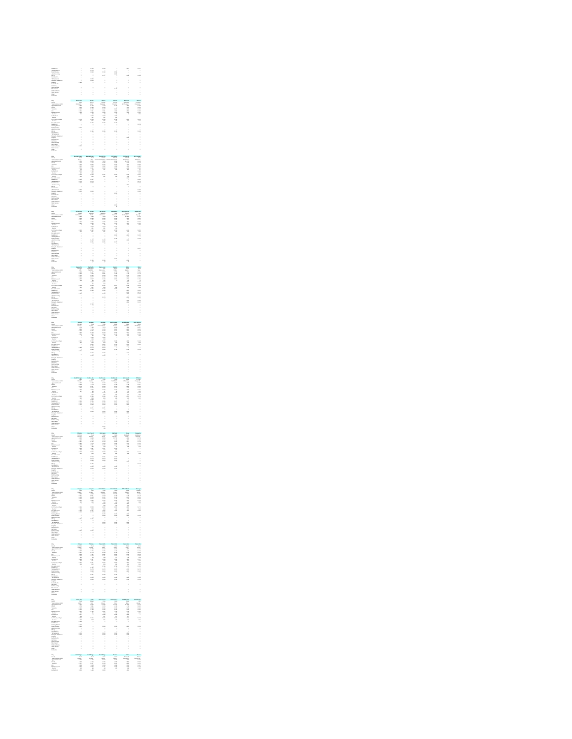|                                                                                                                                                                                                     |                                                                                                                        |                                                                                                                      | $\frac{1}{2}$                                                                                        |                                                                                                                                                                                                                                |
|-----------------------------------------------------------------------------------------------------------------------------------------------------------------------------------------------------|------------------------------------------------------------------------------------------------------------------------|----------------------------------------------------------------------------------------------------------------------|------------------------------------------------------------------------------------------------------|--------------------------------------------------------------------------------------------------------------------------------------------------------------------------------------------------------------------------------|
|                                                                                                                                                                                                     |                                                                                                                        |                                                                                                                      |                                                                                                      |                                                                                                                                                                                                                                |
|                                                                                                                                                                                                     |                                                                                                                        |                                                                                                                      |                                                                                                      |                                                                                                                                                                                                                                |
|                                                                                                                                                                                                     |                                                                                                                        |                                                                                                                      |                                                                                                      |                                                                                                                                                                                                                                |
|                                                                                                                                                                                                     |                                                                                                                        |                                                                                                                      |                                                                                                      |                                                                                                                                                                                                                                |
|                                                                                                                                                                                                     |                                                                                                                        |                                                                                                                      |                                                                                                      |                                                                                                                                                                                                                                |
|                                                                                                                                                                                                     |                                                                                                                        |                                                                                                                      |                                                                                                      |                                                                                                                                                                                                                                |
|                                                                                                                                                                                                     |                                                                                                                        |                                                                                                                      |                                                                                                      |                                                                                                                                                                                                                                |
|                                                                                                                                                                                                     |                                                                                                                        |                                                                                                                      |                                                                                                      |                                                                                                                                                                                                                                |
|                                                                                                                                                                                                     |                                                                                                                        |                                                                                                                      |                                                                                                      |                                                                                                                                                                                                                                |
|                                                                                                                                                                                                     |                                                                                                                        |                                                                                                                      |                                                                                                      |                                                                                                                                                                                                                                |
|                                                                                                                                                                                                     |                                                                                                                        |                                                                                                                      |                                                                                                      |                                                                                                                                                                                                                                |
|                                                                                                                                                                                                     |                                                                                                                        |                                                                                                                      |                                                                                                      |                                                                                                                                                                                                                                |
|                                                                                                                                                                                                     |                                                                                                                        |                                                                                                                      |                                                                                                      |                                                                                                                                                                                                                                |
|                                                                                                                                                                                                     |                                                                                                                        |                                                                                                                      |                                                                                                      |                                                                                                                                                                                                                                |
|                                                                                                                                                                                                     |                                                                                                                        |                                                                                                                      |                                                                                                      |                                                                                                                                                                                                                                |
|                                                                                                                                                                                                     |                                                                                                                        |                                                                                                                      |                                                                                                      |                                                                                                                                                                                                                                |
|                                                                                                                                                                                                     |                                                                                                                        |                                                                                                                      |                                                                                                      |                                                                                                                                                                                                                                |
|                                                                                                                                                                                                     |                                                                                                                        |                                                                                                                      |                                                                                                      |                                                                                                                                                                                                                                |
|                                                                                                                                                                                                     |                                                                                                                        |                                                                                                                      |                                                                                                      |                                                                                                                                                                                                                                |
|                                                                                                                                                                                                     |                                                                                                                        |                                                                                                                      |                                                                                                      |                                                                                                                                                                                                                                |
|                                                                                                                                                                                                     | المسابقة والمستقار والمسابقة والمسابقة والمسابقة والمسابقة والمسابقة والمسابقة والمسابقة والمسابقة والمسابقة والمسابقة |                                                                                                                      |                                                                                                      | المتواصلين والنافية والمستنا والمستنا والمسافي والمستقلة والمسافي والمستقلة والمستنبي والتناقص والتنافي والمستنبية والتنفيض والمستنبية والمستنبية والمستنبية والمستنبية والمستنبية والمستنبية والمستنبية والمستنبية والمستنبية |
|                                                                                                                                                                                                     |                                                                                                                        |                                                                                                                      |                                                                                                      |                                                                                                                                                                                                                                |
|                                                                                                                                                                                                     |                                                                                                                        |                                                                                                                      |                                                                                                      |                                                                                                                                                                                                                                |
|                                                                                                                                                                                                     |                                                                                                                        |                                                                                                                      |                                                                                                      |                                                                                                                                                                                                                                |
|                                                                                                                                                                                                     |                                                                                                                        |                                                                                                                      |                                                                                                      |                                                                                                                                                                                                                                |
|                                                                                                                                                                                                     |                                                                                                                        |                                                                                                                      |                                                                                                      |                                                                                                                                                                                                                                |
|                                                                                                                                                                                                     |                                                                                                                        |                                                                                                                      |                                                                                                      |                                                                                                                                                                                                                                |
|                                                                                                                                                                                                     |                                                                                                                        |                                                                                                                      |                                                                                                      |                                                                                                                                                                                                                                |
|                                                                                                                                                                                                     |                                                                                                                        |                                                                                                                      |                                                                                                      |                                                                                                                                                                                                                                |
|                                                                                                                                                                                                     |                                                                                                                        |                                                                                                                      |                                                                                                      |                                                                                                                                                                                                                                |
|                                                                                                                                                                                                     |                                                                                                                        |                                                                                                                      |                                                                                                      |                                                                                                                                                                                                                                |
|                                                                                                                                                                                                     |                                                                                                                        |                                                                                                                      |                                                                                                      |                                                                                                                                                                                                                                |
|                                                                                                                                                                                                     |                                                                                                                        |                                                                                                                      |                                                                                                      |                                                                                                                                                                                                                                |
|                                                                                                                                                                                                     |                                                                                                                        |                                                                                                                      |                                                                                                      |                                                                                                                                                                                                                                |
|                                                                                                                                                                                                     |                                                                                                                        |                                                                                                                      |                                                                                                      |                                                                                                                                                                                                                                |
|                                                                                                                                                                                                     |                                                                                                                        |                                                                                                                      |                                                                                                      |                                                                                                                                                                                                                                |
|                                                                                                                                                                                                     |                                                                                                                        |                                                                                                                      |                                                                                                      |                                                                                                                                                                                                                                |
|                                                                                                                                                                                                     |                                                                                                                        |                                                                                                                      |                                                                                                      |                                                                                                                                                                                                                                |
|                                                                                                                                                                                                     |                                                                                                                        |                                                                                                                      |                                                                                                      |                                                                                                                                                                                                                                |
|                                                                                                                                                                                                     |                                                                                                                        |                                                                                                                      |                                                                                                      |                                                                                                                                                                                                                                |
|                                                                                                                                                                                                     |                                                                                                                        |                                                                                                                      |                                                                                                      |                                                                                                                                                                                                                                |
|                                                                                                                                                                                                     |                                                                                                                        |                                                                                                                      |                                                                                                      |                                                                                                                                                                                                                                |
|                                                                                                                                                                                                     |                                                                                                                        |                                                                                                                      |                                                                                                      |                                                                                                                                                                                                                                |
|                                                                                                                                                                                                     |                                                                                                                        |                                                                                                                      |                                                                                                      |                                                                                                                                                                                                                                |
|                                                                                                                                                                                                     |                                                                                                                        |                                                                                                                      |                                                                                                      |                                                                                                                                                                                                                                |
|                                                                                                                                                                                                     |                                                                                                                        |                                                                                                                      |                                                                                                      |                                                                                                                                                                                                                                |
|                                                                                                                                                                                                     |                                                                                                                        |                                                                                                                      |                                                                                                      |                                                                                                                                                                                                                                |
|                                                                                                                                                                                                     |                                                                                                                        |                                                                                                                      |                                                                                                      |                                                                                                                                                                                                                                |
|                                                                                                                                                                                                     |                                                                                                                        |                                                                                                                      |                                                                                                      |                                                                                                                                                                                                                                |
| 1992年,1993年,1999年,1999年,1999年,1999年,1999年,1999年,1999年,1999年,1999年,1999年,1999年,1999年,1999年,1999年,1999年,1999年,19<br>1992年,1999年,1999年,1999年,1999年,1999年,1999年,1999年,1999年,1999年,1999年,1999年,1999年,199 |                                                                                                                        |                                                                                                                      |                                                                                                      |                                                                                                                                                                                                                                |
|                                                                                                                                                                                                     |                                                                                                                        |                                                                                                                      |                                                                                                      |                                                                                                                                                                                                                                |
|                                                                                                                                                                                                     |                                                                                                                        |                                                                                                                      |                                                                                                      |                                                                                                                                                                                                                                |
|                                                                                                                                                                                                     |                                                                                                                        |                                                                                                                      |                                                                                                      |                                                                                                                                                                                                                                |
|                                                                                                                                                                                                     |                                                                                                                        |                                                                                                                      |                                                                                                      |                                                                                                                                                                                                                                |
|                                                                                                                                                                                                     |                                                                                                                        |                                                                                                                      |                                                                                                      |                                                                                                                                                                                                                                |
|                                                                                                                                                                                                     |                                                                                                                        |                                                                                                                      |                                                                                                      |                                                                                                                                                                                                                                |
|                                                                                                                                                                                                     |                                                                                                                        |                                                                                                                      |                                                                                                      |                                                                                                                                                                                                                                |
|                                                                                                                                                                                                     |                                                                                                                        |                                                                                                                      |                                                                                                      |                                                                                                                                                                                                                                |
|                                                                                                                                                                                                     |                                                                                                                        |                                                                                                                      |                                                                                                      |                                                                                                                                                                                                                                |
|                                                                                                                                                                                                     |                                                                                                                        |                                                                                                                      |                                                                                                      |                                                                                                                                                                                                                                |
|                                                                                                                                                                                                     | FARBERT SERIES TO THE TELL TO THE STREET OF THE SERIES AND THE STREET OF THE STREET OF THE STREET OF                   |                                                                                                                      |                                                                                                      |                                                                                                                                                                                                                                |
|                                                                                                                                                                                                     |                                                                                                                        | <b>RASHING AND REAL PROPERTY AND ASSESSED AT A STATE OF A STATE OF A STATE OF A STATE OF A STATE OF A STATE OF A</b> | 1989年1989年1988年,1989年,1999年,1999年,1999年,1999年,1999年,1999年,1999年,1999年,1999年,1999年,1999年,1999年,1999年, |                                                                                                                                                                                                                                |
|                                                                                                                                                                                                     |                                                                                                                        |                                                                                                                      |                                                                                                      |                                                                                                                                                                                                                                |
| E                                                                                                                                                                                                   | <b>Friday</b>                                                                                                          |                                                                                                                      |                                                                                                      |                                                                                                                                                                                                                                |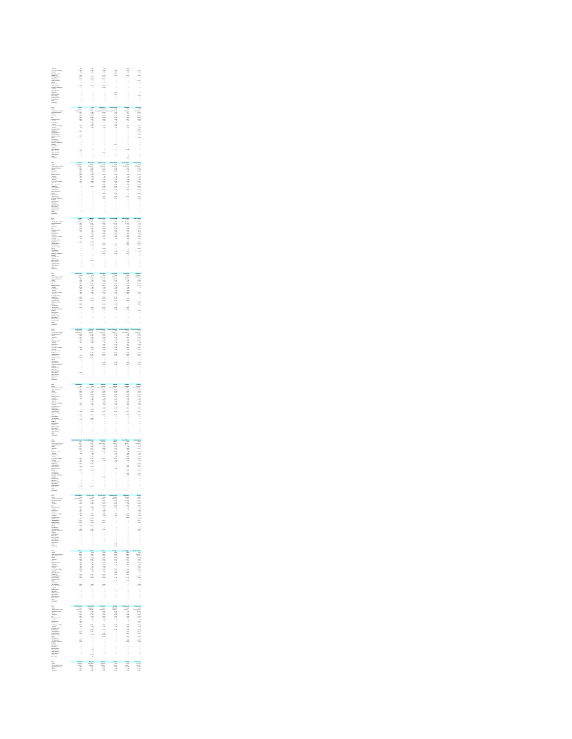|                                                                                                                | dasar a share a share a share a share a share a share a share a share a share a share a share and share a share of the |                                                                                                                |   |  |                                                                                                                                                                                               |
|----------------------------------------------------------------------------------------------------------------|------------------------------------------------------------------------------------------------------------------------|----------------------------------------------------------------------------------------------------------------|---|--|-----------------------------------------------------------------------------------------------------------------------------------------------------------------------------------------------|
|                                                                                                                |                                                                                                                        |                                                                                                                |   |  |                                                                                                                                                                                               |
|                                                                                                                |                                                                                                                        |                                                                                                                |   |  |                                                                                                                                                                                               |
|                                                                                                                |                                                                                                                        |                                                                                                                |   |  |                                                                                                                                                                                               |
|                                                                                                                |                                                                                                                        |                                                                                                                |   |  |                                                                                                                                                                                               |
|                                                                                                                |                                                                                                                        |                                                                                                                |   |  |                                                                                                                                                                                               |
|                                                                                                                |                                                                                                                        |                                                                                                                |   |  |                                                                                                                                                                                               |
|                                                                                                                |                                                                                                                        |                                                                                                                |   |  |                                                                                                                                                                                               |
|                                                                                                                |                                                                                                                        |                                                                                                                |   |  |                                                                                                                                                                                               |
|                                                                                                                |                                                                                                                        |                                                                                                                |   |  |                                                                                                                                                                                               |
|                                                                                                                |                                                                                                                        |                                                                                                                |   |  |                                                                                                                                                                                               |
|                                                                                                                |                                                                                                                        |                                                                                                                |   |  |                                                                                                                                                                                               |
|                                                                                                                |                                                                                                                        |                                                                                                                |   |  |                                                                                                                                                                                               |
|                                                                                                                |                                                                                                                        |                                                                                                                |   |  |                                                                                                                                                                                               |
|                                                                                                                |                                                                                                                        |                                                                                                                |   |  |                                                                                                                                                                                               |
|                                                                                                                |                                                                                                                        |                                                                                                                |   |  |                                                                                                                                                                                               |
|                                                                                                                |                                                                                                                        |                                                                                                                |   |  |                                                                                                                                                                                               |
|                                                                                                                |                                                                                                                        |                                                                                                                |   |  |                                                                                                                                                                                               |
|                                                                                                                |                                                                                                                        |                                                                                                                |   |  |                                                                                                                                                                                               |
|                                                                                                                |                                                                                                                        |                                                                                                                |   |  |                                                                                                                                                                                               |
|                                                                                                                |                                                                                                                        |                                                                                                                |   |  |                                                                                                                                                                                               |
|                                                                                                                |                                                                                                                        |                                                                                                                |   |  |                                                                                                                                                                                               |
|                                                                                                                |                                                                                                                        |                                                                                                                |   |  |                                                                                                                                                                                               |
|                                                                                                                |                                                                                                                        |                                                                                                                |   |  |                                                                                                                                                                                               |
|                                                                                                                |                                                                                                                        |                                                                                                                |   |  |                                                                                                                                                                                               |
|                                                                                                                |                                                                                                                        |                                                                                                                |   |  |                                                                                                                                                                                               |
|                                                                                                                |                                                                                                                        |                                                                                                                |   |  |                                                                                                                                                                                               |
|                                                                                                                |                                                                                                                        |                                                                                                                |   |  |                                                                                                                                                                                               |
|                                                                                                                |                                                                                                                        |                                                                                                                |   |  |                                                                                                                                                                                               |
|                                                                                                                |                                                                                                                        |                                                                                                                |   |  |                                                                                                                                                                                               |
|                                                                                                                |                                                                                                                        |                                                                                                                |   |  |                                                                                                                                                                                               |
|                                                                                                                |                                                                                                                        |                                                                                                                |   |  |                                                                                                                                                                                               |
|                                                                                                                |                                                                                                                        |                                                                                                                |   |  |                                                                                                                                                                                               |
|                                                                                                                |                                                                                                                        |                                                                                                                |   |  |                                                                                                                                                                                               |
|                                                                                                                |                                                                                                                        |                                                                                                                |   |  |                                                                                                                                                                                               |
|                                                                                                                |                                                                                                                        |                                                                                                                |   |  |                                                                                                                                                                                               |
|                                                                                                                |                                                                                                                        |                                                                                                                |   |  |                                                                                                                                                                                               |
|                                                                                                                |                                                                                                                        |                                                                                                                |   |  |                                                                                                                                                                                               |
|                                                                                                                |                                                                                                                        |                                                                                                                |   |  |                                                                                                                                                                                               |
|                                                                                                                |                                                                                                                        |                                                                                                                |   |  |                                                                                                                                                                                               |
|                                                                                                                |                                                                                                                        |                                                                                                                |   |  |                                                                                                                                                                                               |
|                                                                                                                |                                                                                                                        |                                                                                                                |   |  |                                                                                                                                                                                               |
|                                                                                                                |                                                                                                                        |                                                                                                                |   |  |                                                                                                                                                                                               |
|                                                                                                                |                                                                                                                        |                                                                                                                |   |  |                                                                                                                                                                                               |
|                                                                                                                |                                                                                                                        |                                                                                                                |   |  |                                                                                                                                                                                               |
|                                                                                                                |                                                                                                                        |                                                                                                                |   |  |                                                                                                                                                                                               |
|                                                                                                                |                                                                                                                        |                                                                                                                |   |  |                                                                                                                                                                                               |
|                                                                                                                |                                                                                                                        |                                                                                                                |   |  |                                                                                                                                                                                               |
|                                                                                                                |                                                                                                                        |                                                                                                                |   |  |                                                                                                                                                                                               |
|                                                                                                                |                                                                                                                        |                                                                                                                |   |  |                                                                                                                                                                                               |
|                                                                                                                |                                                                                                                        |                                                                                                                |   |  |                                                                                                                                                                                               |
|                                                                                                                |                                                                                                                        |                                                                                                                |   |  |                                                                                                                                                                                               |
|                                                                                                                |                                                                                                                        |                                                                                                                |   |  |                                                                                                                                                                                               |
|                                                                                                                |                                                                                                                        |                                                                                                                |   |  |                                                                                                                                                                                               |
| THE STATE CONFIDENTIAL SECTION AND ALTERNATIVE CONFIDENTIAL SECTION AND ALTERNATIVE CONFIDENTIAL CONFIDENTIAL  |                                                                                                                        | barrants between the committee of the committee of the committee of the control of the control of the controll |   |  |                                                                                                                                                                                               |
|                                                                                                                |                                                                                                                        |                                                                                                                |   |  |                                                                                                                                                                                               |
|                                                                                                                |                                                                                                                        |                                                                                                                |   |  |                                                                                                                                                                                               |
|                                                                                                                |                                                                                                                        |                                                                                                                |   |  |                                                                                                                                                                                               |
|                                                                                                                |                                                                                                                        |                                                                                                                |   |  |                                                                                                                                                                                               |
|                                                                                                                |                                                                                                                        |                                                                                                                |   |  | $\frac{1}{2}$ , $\frac{1}{2}$ , $\frac{1}{2}$ , $\frac{1}{2}$ , $\frac{1}{2}$ , $\frac{1}{2}$ , $\frac{1}{2}$ , $\frac{1}{2}$ , $\frac{1}{2}$ , $\frac{1}{2}$ , $\frac{1}{2}$ , $\frac{1}{2}$ |
|                                                                                                                |                                                                                                                        |                                                                                                                |   |  |                                                                                                                                                                                               |
|                                                                                                                |                                                                                                                        |                                                                                                                |   |  |                                                                                                                                                                                               |
|                                                                                                                |                                                                                                                        |                                                                                                                |   |  |                                                                                                                                                                                               |
|                                                                                                                |                                                                                                                        |                                                                                                                |   |  |                                                                                                                                                                                               |
|                                                                                                                |                                                                                                                        |                                                                                                                |   |  |                                                                                                                                                                                               |
|                                                                                                                |                                                                                                                        |                                                                                                                |   |  |                                                                                                                                                                                               |
|                                                                                                                |                                                                                                                        |                                                                                                                |   |  |                                                                                                                                                                                               |
|                                                                                                                |                                                                                                                        |                                                                                                                |   |  |                                                                                                                                                                                               |
|                                                                                                                |                                                                                                                        |                                                                                                                |   |  |                                                                                                                                                                                               |
|                                                                                                                |                                                                                                                        |                                                                                                                |   |  |                                                                                                                                                                                               |
|                                                                                                                |                                                                                                                        |                                                                                                                |   |  |                                                                                                                                                                                               |
|                                                                                                                |                                                                                                                        |                                                                                                                |   |  |                                                                                                                                                                                               |
|                                                                                                                |                                                                                                                        |                                                                                                                |   |  |                                                                                                                                                                                               |
|                                                                                                                |                                                                                                                        |                                                                                                                |   |  |                                                                                                                                                                                               |
|                                                                                                                |                                                                                                                        |                                                                                                                |   |  |                                                                                                                                                                                               |
|                                                                                                                |                                                                                                                        |                                                                                                                |   |  |                                                                                                                                                                                               |
| THE REAL PROPERTY OF A PROPERTY THAN HE REAL PROPERTY AND ANNOUNCEMENT OF A PARTY OF A PARTY OF A PARTY OF A P |                                                                                                                        |                                                                                                                |   |  |                                                                                                                                                                                               |
|                                                                                                                | 1999 1999 1999 1999 1999 1999 1999 1999 1999 1999 1999 1999 1999 1999 1999 1999 1999 1999 1999 1999 1999 1999 1        | <b>REAL Action of NEWS Constitutions in the Constitution</b>                                                   | E |  | 1988 - 1989 - 1989 - 1989 - 1989 - 1989 - 1989 - 1989 - 1989 - 1989 - 1989 - 1989 - 1989 - 1989 - 1980 - 1980 -                                                                               |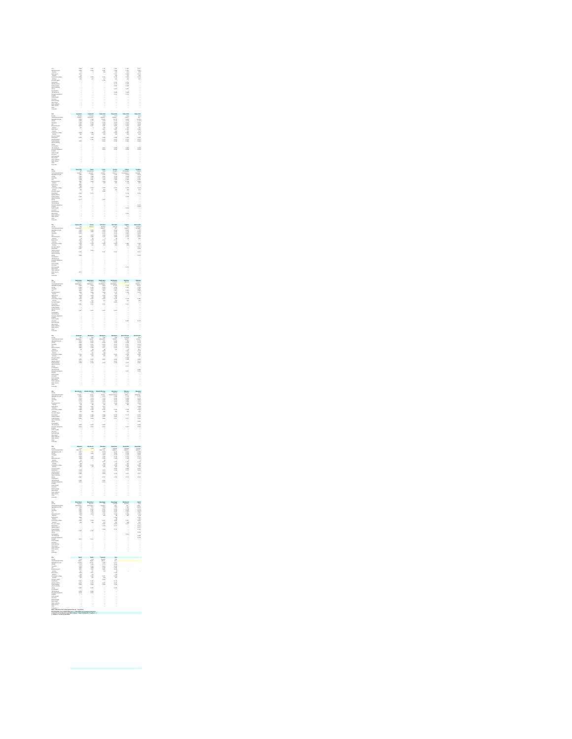| The Control of the Control of the Control of Control of the Control of the Control of the Control of the Control of the Control of the Control of the Control of the Control of the Control of the Control of the Control of t | and a second construction of the company of the contract of the contract of the contract of the contract of the contract of the contract of the contract of the contract of the contract of the contract of the contract of t | المناسب والتعامل المستوقف والمستوق والمسابس والمستقر المستوات والمستوات والمسابق المستقر المستقر والمسابق المستقر والمستقرح | المستقطعة المستقطعة المستقطعة المستقطعة المستقطعة المستقطعة المستقطعة المستقطعة المستقطعة المستقطعة المستقطعة المستق | بينتين والمسافير والمستقر والمستقر والمستقر والمستقر والمراقص والمستقر والمستقر والمسائل والمستقر والمستقرر والمستقرر |                                                                                                      |
|--------------------------------------------------------------------------------------------------------------------------------------------------------------------------------------------------------------------------------|-------------------------------------------------------------------------------------------------------------------------------------------------------------------------------------------------------------------------------|-----------------------------------------------------------------------------------------------------------------------------|----------------------------------------------------------------------------------------------------------------------|-----------------------------------------------------------------------------------------------------------------------|------------------------------------------------------------------------------------------------------|
|                                                                                                                                                                                                                                |                                                                                                                                                                                                                               |                                                                                                                             |                                                                                                                      |                                                                                                                       |                                                                                                      |
|                                                                                                                                                                                                                                |                                                                                                                                                                                                                               |                                                                                                                             |                                                                                                                      |                                                                                                                       |                                                                                                      |
|                                                                                                                                                                                                                                |                                                                                                                                                                                                                               |                                                                                                                             |                                                                                                                      |                                                                                                                       |                                                                                                      |
|                                                                                                                                                                                                                                |                                                                                                                                                                                                                               |                                                                                                                             |                                                                                                                      |                                                                                                                       |                                                                                                      |
|                                                                                                                                                                                                                                |                                                                                                                                                                                                                               |                                                                                                                             |                                                                                                                      |                                                                                                                       |                                                                                                      |
|                                                                                                                                                                                                                                |                                                                                                                                                                                                                               |                                                                                                                             |                                                                                                                      |                                                                                                                       |                                                                                                      |
|                                                                                                                                                                                                                                |                                                                                                                                                                                                                               |                                                                                                                             |                                                                                                                      |                                                                                                                       | 1970年,1982年,1982年,1982年,1982年,1982年,1982年,1982年,1982年,1982年,1982年,1982年,1982年,1982年,1982年,1982年,1982 |
|                                                                                                                                                                                                                                |                                                                                                                                                                                                                               |                                                                                                                             |                                                                                                                      |                                                                                                                       |                                                                                                      |